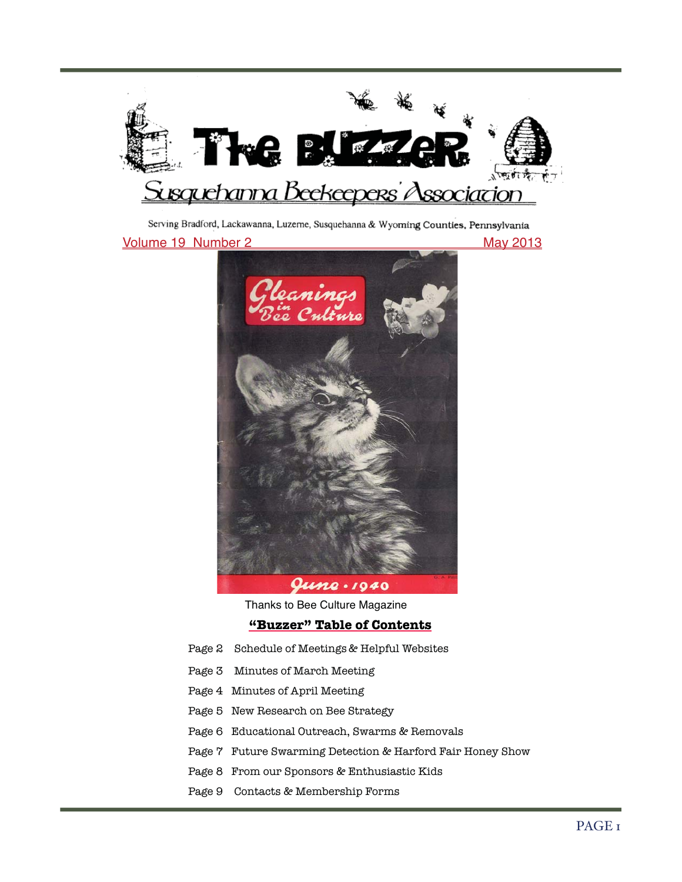

Serving Bradford, Lackawanna, Luzerne, Susquehanna & Wyoming Counties, Pennsylvania

May 2013

Volume 19 Number 2-



Thanks to Bee Culture Magazine

**"Buzzer" Table of Contents**

- Page 2 Schedule of Meetings & Helpful Websites
- Page 3 Minutes of March Meeting
- Page 4 Minutes of April Meeting
- Page 5 New Research on Bee Strategy
- Page 6 Educational Outreach, Swarms & Removals
- Page 7 Future Swarming Detection & Harford Fair Honey Show
- Page 8 From our Sponsors & Enthusiastic Kids
- Page 9 Contacts & Membership Forms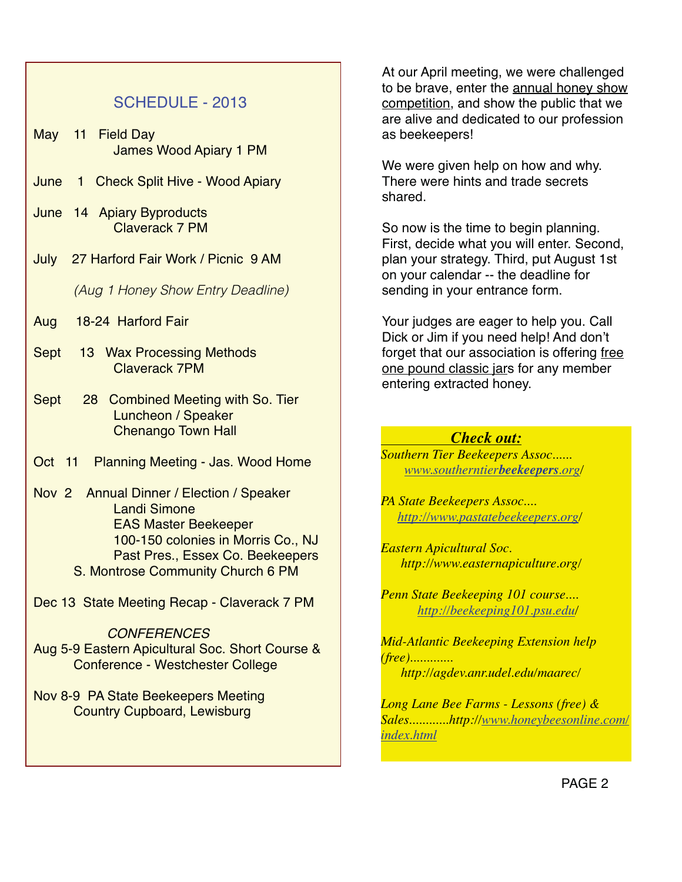## SCHEDULE - 2013

- May 11 Field Day James Wood Apiary 1 PM
- June 1 Check Split Hive Wood Apiary
- June 14 Apiary Byproducts Claverack 7 PM
- July 27 Harford Fair Work / Picnic 9 AM-

(Aug 1 Honey Show Entry Deadline)

- Aug 18-24 Harford Fair
- Sept 13 Wax Processing Methods Claverack 7PM
- Sept 28 Combined Meeting with So. Tier Luncheon / Speaker Chenango Town Hall
- Oct 11 Planning Meeting Jas. Wood Home
- Nov 2 Annual Dinner / Election / Speaker Landi Simone EAS Master Beekeeper 100-150 colonies in Morris Co., NJ Past Pres., Essex Co. Beekeepers S. Montrose Community Church 6 PM
- Dec 13 State Meeting Recap Claverack 7 PM

**CONFERENCES** Aug 5-9 Eastern Apicultural Soc. Short Course & Conference - Westchester College

Nov 8-9 PA State Beekeepers Meeting Country Cupboard, Lewisburg

At our April meeting, we were challenged to be brave, enter the annual honey show competition, and show the public that we are alive and dedicated to our profession as beekeepers!

We were given help on how and why. There were hints and trade secrets shared.

So now is the time to begin planning. First, decide what you will enter. Second, plan your strategy. Third, put August 1st on your calendar -- the deadline for sending in your entrance form.

Your judges are eager to help you. Call Dick or Jim if you need help! And don't forget that our association is offering free one pound classic jars for any member entering extracted honey.

## *Check out:*

*Southern Tier Beekeepers Assoc...... www.southerntierbeekeepers.org/*

*PA State Beekeepers Assoc.... http://www.pastatebeekeepers.org/*

*Eastern Apicultural Soc. http://www.easternapiculture.org/*

*Penn State Beekeeping 101 course.... http://beekeeping101.psu.edu/*

*Mid-Atlantic Beekeeping Extension help (free)............. http://agdev.anr.udel.edu/maarec/*

*Long Lane Bee Farms - Lessons (free) & Sales............http://www.honeybeesonline.com/ index.html*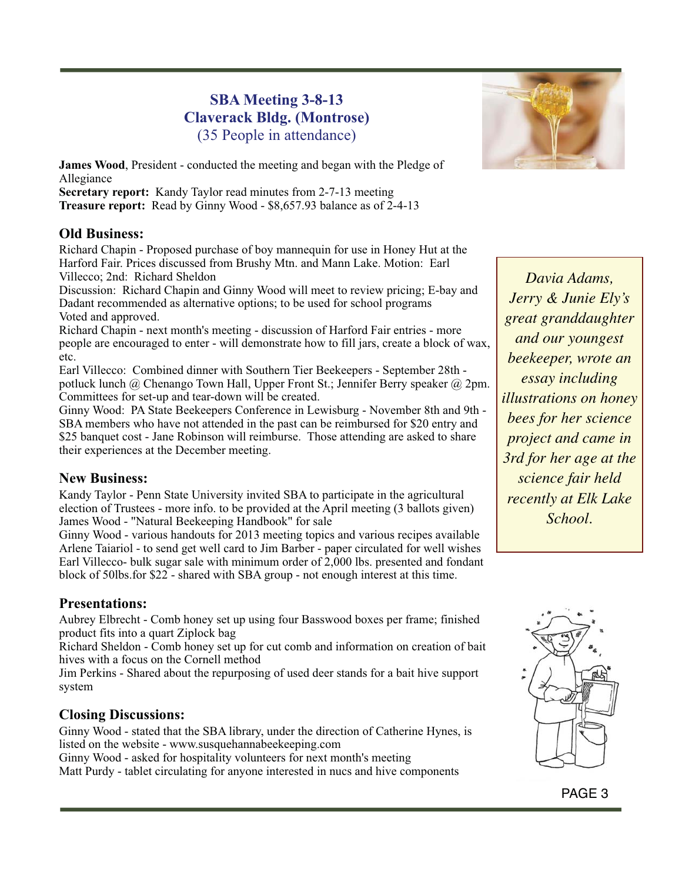## **SBA Meeting 3-8-13 Claverack Bldg. (Montrose)** (35 People in attendance)

**James Wood**, President - conducted the meeting and began with the Pledge of Allegiance

**Secretary report:** Kandy Taylor read minutes from 2-7-13 meeting **Treasure report:** Read by Ginny Wood - \$8,657.93 balance as of 2-4-13

### **Old Business:**

Richard Chapin - Proposed purchase of boy mannequin for use in Honey Hut at the Harford Fair. Prices discussed from Brushy Mtn. and Mann Lake. Motion: Earl Villecco; 2nd: Richard Sheldon

Discussion: Richard Chapin and Ginny Wood will meet to review pricing; E-bay and Dadant recommended as alternative options; to be used for school programs Voted and approved.

Richard Chapin - next month's meeting - discussion of Harford Fair entries - more people are encouraged to enter - will demonstrate how to fill jars, create a block of wax, etc.

Earl Villecco: Combined dinner with Southern Tier Beekeepers - September 28th potluck lunch @ Chenango Town Hall, Upper Front St.; Jennifer Berry speaker @ 2pm. Committees for set-up and tear-down will be created.

Ginny Wood: PA State Beekeepers Conference in Lewisburg - November 8th and 9th - SBA members who have not attended in the past can be reimbursed for \$20 entry and \$25 banquet cost - Jane Robinson will reimburse. Those attending are asked to share their experiences at the December meeting.

### **New Business:**

Kandy Taylor - Penn State University invited SBA to participate in the agricultural election of Trustees - more info. to be provided at the April meeting (3 ballots given) James Wood - "Natural Beekeeping Handbook" for sale

Ginny Wood - various handouts for 2013 meeting topics and various recipes available Arlene Taiariol - to send get well card to Jim Barber - paper circulated for well wishes Earl Villecco- bulk sugar sale with minimum order of 2,000 lbs. presented and fondant block of 50lbs.for \$22 - shared with SBA group - not enough interest at this time.

### **Presentations:**

Aubrey Elbrecht - Comb honey set up using four Basswood boxes per frame; finished product fits into a quart Ziplock bag

Richard Sheldon - Comb honey set up for cut comb and information on creation of bait hives with a focus on the Cornell method

Jim Perkins - Shared about the repurposing of used deer stands for a bait hive support system

### **Closing Discussions:**

Ginny Wood - stated that the SBA library, under the direction of Catherine Hynes, is listed on the website - www.susquehannabeekeeping.com

Ginny Wood - asked for hospitality volunteers for next month's meeting Matt Purdy - tablet circulating for anyone interested in nucs and hive components



*Davia Adams, Jerry & Junie Ely's great granddaughter and our youngest beekeeper, wrote an essay including illustrations on honey bees for her science project and came in 3rd for her age at the science fair held recently at Elk Lake School.*

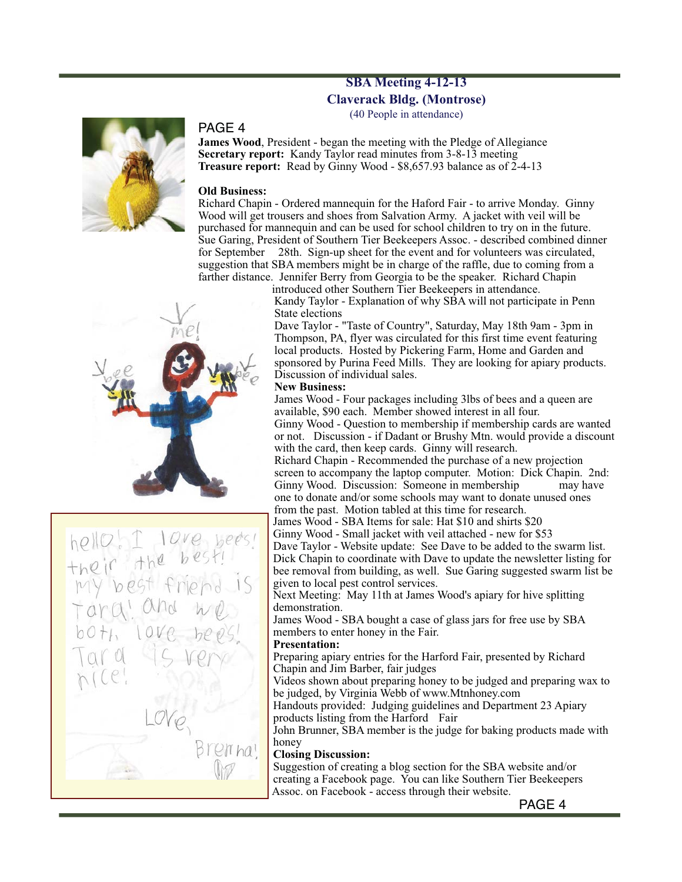## **SBA Meeting 4-12-13 Claverack Bldg. (Montrose)**

(40 People in attendance)



#### PAGE 4

**James Wood**, President - began the meeting with the Pledge of Allegiance **Secretary report:** Kandy Taylor read minutes from 3-8-13 meeting **Treasure report:** Read by Ginny Wood - \$8,657.93 balance as of 2-4-13

#### **Old Business:**

Richard Chapin - Ordered mannequin for the Haford Fair - to arrive Monday. Ginny Wood will get trousers and shoes from Salvation Army. A jacket with veil will be purchased for mannequin and can be used for school children to try on in the future. Sue Garing, President of Southern Tier Beekeepers Assoc. - described combined dinner for September 28th. Sign-up sheet for the event and for volunteers was circulated, suggestion that SBA members might be in charge of the raffle, due to coming from a farther distance. Jennifer Berry from Georgia to be the speaker. Richard Chapin

introduced other Southern Tier Beekeepers in attendance. Kandy Taylor - Explanation of why SBA will not participate in Penn State elections

Dave Taylor - "Taste of Country", Saturday, May 18th 9am - 3pm in Thompson, PA, flyer was circulated for this first time event featuring local products. Hosted by Pickering Farm, Home and Garden and sponsored by Purina Feed Mills. They are looking for apiary products. Discussion of individual sales.

#### **New Business:**

James Wood - Four packages including 3lbs of bees and a queen are available, \$90 each. Member showed interest in all four. Ginny Wood - Question to membership if membership cards are wanted

or not. Discussion - if Dadant or Brushy Mtn. would provide a discount with the card, then keep cards. Ginny will research.

Richard Chapin - Recommended the purchase of a new projection screen to accompany the laptop computer. Motion: Dick Chapin. 2nd: Ginny Wood. Discussion: Someone in membership may have one to donate and/or some schools may want to donate unused ones from the past. Motion tabled at this time for research.

James Wood - SBA Items for sale: Hat \$10 and shirts \$20

Ginny Wood - Small jacket with veil attached - new for \$53

Dave Taylor - Website update: See Dave to be added to the swarm list. Dick Chapin to coordinate with Dave to update the newsletter listing for bee removal from building, as well. Sue Garing suggested swarm list be given to local pest control services.

Next Meeting: May 11th at James Wood's apiary for hive splitting demonstration.

James Wood - SBA bought a case of glass jars for free use by SBA members to enter honey in the Fair.

#### **Presentation:**

Preparing apiary entries for the Harford Fair, presented by Richard Chapin and Jim Barber, fair judges

Videos shown about preparing honey to be judged and preparing wax to be judged, by Virginia Webb of www.Mtnhoney.com

Handouts provided: Judging guidelines and Department 23 Apiary products listing from the Harford Fair

John Brunner, SBA member is the judge for baking products made with honey

#### **Closing Discussion:**

Suggestion of creating a blog section for the SBA website and/or creating a Facebook page. You can like Southern Tier Beekeepers Assoc. on Facebook - access through their website.



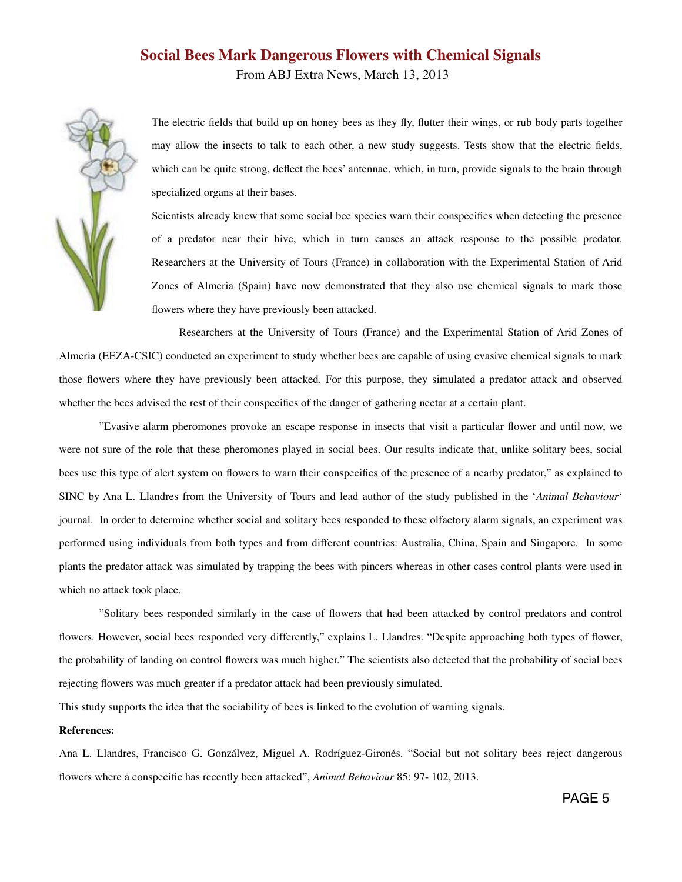## **Social Bees Mark Dangerous Flowers with Chemical Signals** From ABJ Extra News, March 13, 2013



The electric fields that build up on honey bees as they fly, flutter their wings, or rub body parts together may allow the insects to talk to each other, a new study suggests. Tests show that the electric fields, which can be quite strong, deflect the bees' antennae, which, in turn, provide signals to the brain through specialized organs at their bases.

Scientists already knew that some social bee species warn their conspecifics when detecting the presence of a predator near their hive, which in turn causes an attack response to the possible predator. Researchers at the University of Tours (France) in collaboration with the Experimental Station of Arid Zones of Almeria (Spain) have now demonstrated that they also use chemical signals to mark those flowers where they have previously been attacked.

 Researchers at the University of Tours (France) and the Experimental Station of Arid Zones of Almeria (EEZA-CSIC) conducted an experiment to study whether bees are capable of using evasive chemical signals to mark those flowers where they have previously been attacked. For this purpose, they simulated a predator attack and observed whether the bees advised the rest of their conspecifics of the danger of gathering nectar at a certain plant.

 "Evasive alarm pheromones provoke an escape response in insects that visit a particular flower and until now, we were not sure of the role that these pheromones played in social bees. Our results indicate that, unlike solitary bees, social bees use this type of alert system on flowers to warn their conspecifics of the presence of a nearby predator," as explained to SINC by Ana L. Llandres from the University of Tours and lead author of the study published in the '*Animal Behaviour*' journal. In order to determine whether social and solitary bees responded to these olfactory alarm signals, an experiment was performed using individuals from both types and from different countries: Australia, China, Spain and Singapore. In some plants the predator attack was simulated by trapping the bees with pincers whereas in other cases control plants were used in which no attack took place.

 "Solitary bees responded similarly in the case of flowers that had been attacked by control predators and control flowers. However, social bees responded very differently," explains L. Llandres. "Despite approaching both types of flower, the probability of landing on control flowers was much higher." The scientists also detected that the probability of social bees rejecting flowers was much greater if a predator attack had been previously simulated.

This study supports the idea that the sociability of bees is linked to the evolution of warning signals.

#### **References:**

Ana L. Llandres, Francisco G. Gonzálvez, Miguel A. Rodríguez-Gironés. "Social but not solitary bees reject dangerous flowers where a conspecific has recently been attacked", *Animal Behaviour* 85: 97- 102, 2013.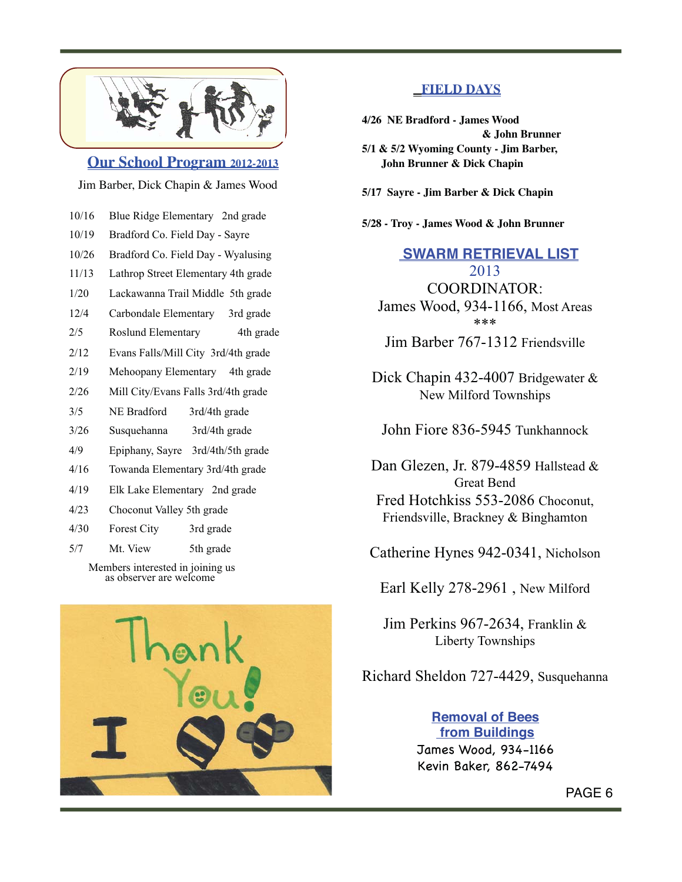

**Our School Program 2012-2013**

Jim Barber, Dick Chapin & James Wood

- 10/16 Blue Ridge Elementary 2nd grade
- 10/19 Bradford Co. Field Day Sayre
- 10/26 Bradford Co. Field Day Wyalusing
- 11/13 Lathrop Street Elementary 4th grade
- 1/20 Lackawanna Trail Middle 5th grade
- 12/4 Carbondale Elementary 3rd grade
- 2/5 Roslund Elementary 4th grade
- 2/12 Evans Falls/Mill City 3rd/4th grade
- 2/19 Mehoopany Elementary 4th grade
- 2/26 Mill City/Evans Falls 3rd/4th grade
- 3/5 NE Bradford 3rd/4th grade
- 3/26 Susquehanna 3rd/4th grade
- 4/9 Epiphany, Sayre 3rd/4th/5th grade
- 4/16 Towanda Elementary 3rd/4th grade
- 4/19 Elk Lake Elementary 2nd grade
- 4/23 Choconut Valley 5th grade
- 4/30 Forest City 3rd grade
- 5/7 Mt. View 5th grade

 Members interested in joining us as observer are welcome



### **FIELD DAYS**

- **4/26 NE Bradford James Wood & John Brunner 5/1 & 5/2 Wyoming County - Jim Barber, John Brunner & Dick Chapin**
- **5/17 Sayre Jim Barber & Dick Chapin**
- **5/28 Troy James Wood & John Brunner**

 **SWARM RETRIEVAL LIST** 2013 COORDINATOR: James Wood, 934-1166, Most Areas \*\*\*

Jim Barber 767-1312 Friendsville

Dick Chapin 432-4007 Bridgewater & New Milford Townships

John Fiore 836-5945 Tunkhannock

Dan Glezen, Jr. 879-4859 Hallstead & Great Bend Fred Hotchkiss 553-2086 Choconut, Friendsville, Brackney & Binghamton

Catherine Hynes 942-0341, Nicholson

Earl Kelly 278-2961 , New Milford

Jim Perkins 967-2634, Franklin & Liberty Townships

Richard Sheldon 727-4429, Susquehanna

**Removal of Bees from Buildings** James Wood, 934-1166 Kevin Baker, 862-7494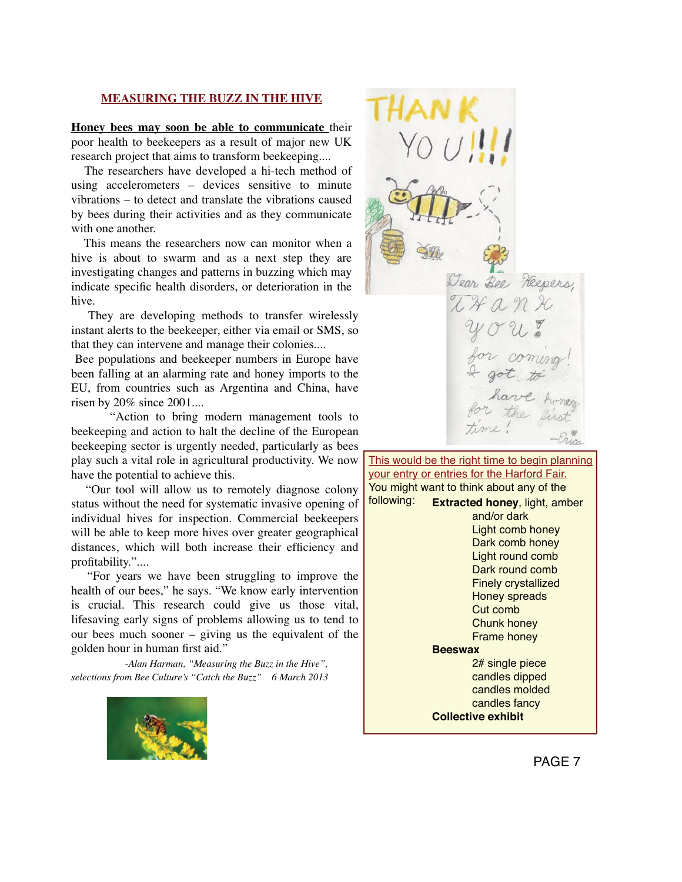#### **MEASURING THE BUZZ IN THE HIVE**

**Honey bees may soon be able to communicate** their poor health to beekeepers as a result of major new UK research project that aims to transform beekeeping....

 The researchers have developed a hi-tech method of using accelerometers – devices sensitive to minute vibrations – to detect and translate the vibrations caused by bees during their activities and as they communicate with one another.

 This means the researchers now can monitor when a hive is about to swarm and as a next step they are investigating changes and patterns in buzzing which may indicate specific health disorders, or deterioration in the hive.

 They are developing methods to transfer wirelessly instant alerts to the beekeeper, either via email or SMS, so that they can intervene and manage their colonies....

Bee populations and beekeeper numbers in Europe have been falling at an alarming rate and honey imports to the EU, from countries such as Argentina and China, have risen by 20% since 2001....

 "Action to bring modern management tools to beekeeping and action to halt the decline of the European beekeeping sector is urgently needed, particularly as bees play such a vital role in agricultural productivity. We now have the potential to achieve this.

 "Our tool will allow us to remotely diagnose colony status without the need for systematic invasive opening of individual hives for inspection. Commercial beekeepers will be able to keep more hives over greater geographical distances, which will both increase their efficiency and profitability."....

 "For years we have been struggling to improve the health of our bees," he says. "We know early intervention is crucial. This research could give us those vital, lifesaving early signs of problems allowing us to tend to our bees much sooner – giving us the equivalent of the golden hour in human first aid."

 *-Alan Harman, "Measuring the Buzz in the Hive", selections from Bee Culture's "Catch the Buzz" 6 March 2013*





**Extracted honey**, light, amber and/or dark Light comb honey Dark comb honey Light round comb Dark round comb Finely crystallized Honey spreads Cut comb Chunk honey Frame honey **Beeswax** 2# single piece candles dipped candles molded candles fancy **Collective exhibit** This would be the right time to begin planning your entry or entries for the Harford Fair. You might want to think about any of the following: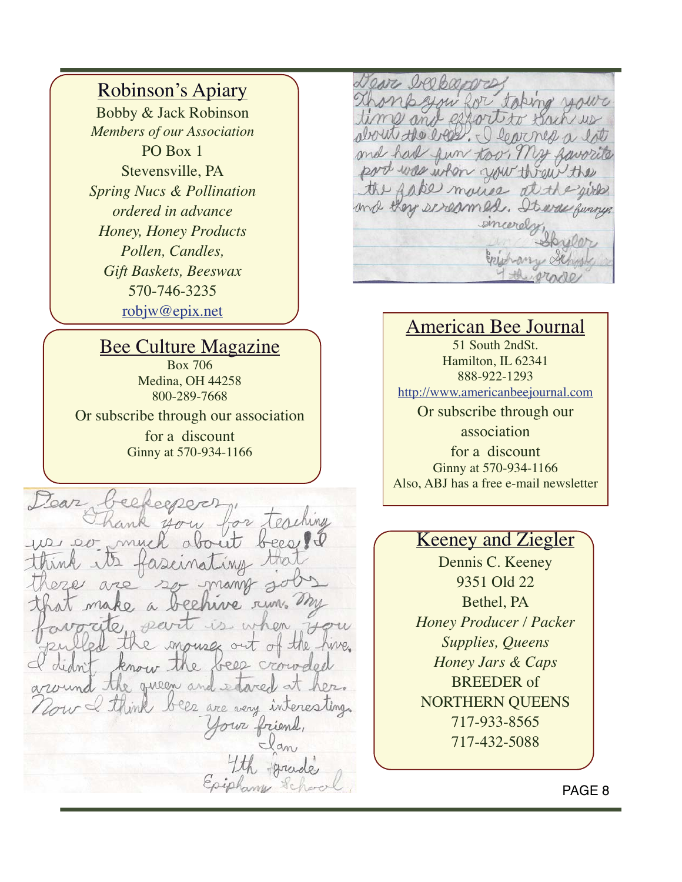# Robinson's Apiary

Bobby & Jack Robinson *Members of our Association* PO Box 1 Stevensville, PA *Spring Nucs & Pollination ordered in advance Honey, Honey Products Pollen, Candles, Gift Baskets, Beeswax* 570-746-3235 robjw@epix.net

## Bee Culture Magazine

Box 706 Medina, OH 44258 800-289-7668

Or subscribe through our association for a discount Ginny at 570-934-1166

Dear 22 Terretung  $2DRA$ ing rum. ma en How mouses out of the hive. bees crowded know  $\circ$ the gueen and estared I think bees are very interesting. four friend

you RAL toping fort to hav would the erest, I learness a ond h an fun too. The port was when you threw the fake mouse at the equired and they screamed. It was funny emeerd

## American Bee Journal

51 South 2ndSt. Hamilton, IL 62341 888-922-1293 http://www.americanbeejournal.com Or subscribe through our association

for a discount Ginny at 570-934-1166 Also, ABJ has a free e-mail newsletter

## Keeney and Ziegler

Dennis C. Keeney 9351 Old 22 Bethel, PA *Honey Producer / Packer Supplies, Queens Honey Jars & Caps* BREEDER of NORTHERN QUEENS 717-933-8565 717-432-5088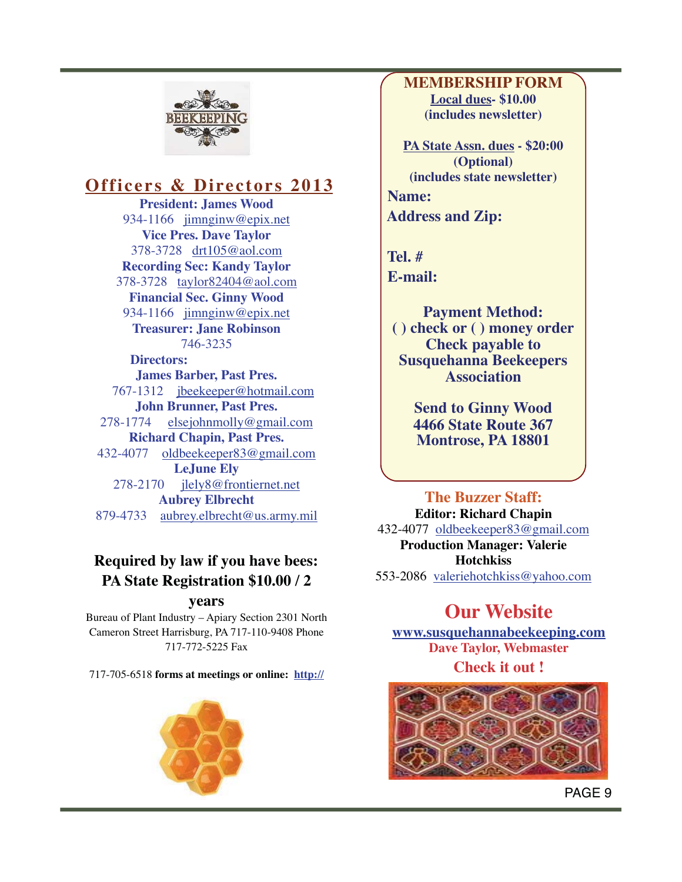

# **Officers & Directors 2013**

**President: James Wood** 934-1166 jimnginw@epix.net **Vice Pres. Dave Taylor** 378-3728 drt105@aol.com **Recording Sec: Kandy Taylor** 378-3728 taylor82404@aol.com **Financial Sec. Ginny Wood** 934-1166 jimnginw@epix.net **Treasurer: Jane Robinson**  746-3235 **Directors: James Barber, Past Pres.** 767-1312 jbeekeeper@hotmail.com **John Brunner, Past Pres.** 278-1774 elsejohnmolly@gmail.com **Richard Chapin, Past Pres.**  432-4077 oldbeekeeper83@gmail.com **LeJune Ely** 278-2170 jlely8@frontiernet.net **Aubrey Elbrecht** 879-4733 aubrey.elbrecht@us.army.mil

## **Required by law if you have bees: PA State Registration \$10.00 / 2**

#### **years**

Bureau of Plant Industry – Apiary Section 2301 North Cameron Street Harrisburg, PA 717-110-9408 Phone 717-772-5225 Fax

717-705-6518 **forms at meetings or online: http://**



**MEMBERSHIP FORM Local dues- \$10.00 (includes newsletter)**

**PA State Assn. dues - \$20:00 (Optional) (includes state newsletter) Name: Address and Zip:**

 **Tel. # E-mail:**

> **Payment Method: ( ) check or ( ) money order Check payable to Susquehanna Beekeepers Association**

> > **Send to Ginny Wood 4466 State Route 367 Montrose, PA 18801**

**The Buzzer Staff: Editor: Richard Chapin** 432-4077 oldbeekeeper83@gmail.com **Production Manager: Valerie Hotchkiss** 553-2086 valeriehotchkiss@yahoo.com

# **Our Website**

**www.susquehannabeekeeping.com Dave Taylor, Webmaster Check it out !**